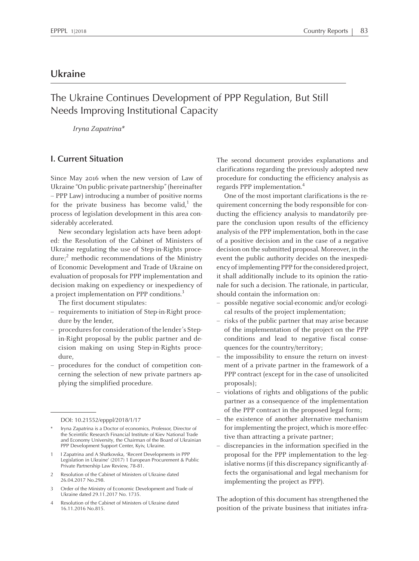# **Ukraine**

# The Ukraine Continues Development of PPP Regulation, But Still Needs Improving Institutional Capacity

Iryna Zapatrina\*

#### **I. Current Situation**

Since May 2016 when the new version of Law of Ukraine "On public-private partnership"(hereinafter – PPP Law) introducing <sup>a</sup> number of positive norms for the private business has become valid,<sup>1</sup> the process of legislation development in this area considerably accelerated.

New secondary legislation acts have been adopted: the Resolution of the Cabinet of Ministers of Ukraine regulating the use of Step-in-Rights procedure; <sup>2</sup> methodic recommendations of the Ministry of Economic Development and Trade of Ukraine on evaluation of proposals for PPP implementation and decision making on expediency or inexpediency of a project implementation on PPP conditions.<sup>3</sup>

The first document stipulates:

- requirements to initiation of Step-in-Right procedure by the lender,
- procedures for consideration of the lender's Stepin-Right proposal by the public partner and decision making on using Step-in-Rights procedure,
- procedures for the conduct of competition concerning the selection of new private partners applying the simplified procedure.

- 2 Resolution of the Cabinet of Ministers of Ukraine dated 26.04.2017 No.298.
- <sup>3</sup> Order of the Ministry of Economic Development and Trade of Ukraine dated 29.11.2017 No. 1735.
- 4 Resolution of the Cabinet of Ministers of Ukraine dated 16.11.2016 No.815.

The second document provides explanations and clarifications regarding the previously adopted new procedure for conducting the efficiency analysis as regards PPP implementation. 4

One of the most important clarifications is the requirement concerning the body responsible for conducting the efficiency analysis to mandatorily prepare the conclusion upon results of the efficiency analysis of the PPP implementation, both in the case of <sup>a</sup> positive decision and in the case of <sup>a</sup> negative decision on the submitted proposal. Moreover, in the event the public authority decides on the inexpediency of implementing PPP for the considered project, it shall additionally include to its opinion the rationale for such <sup>a</sup> decision. The rationale, in particular, should contain the information on:

- possible negative social-economic and/or ecological results of the project implementation;
- risks of the public partner that may arise because of the implementation of the project on the PPP conditions and lead to negative fiscal consequences for the country/territory;
- the impossibility to ensure the return on investment of <sup>a</sup> private partner in the framework of <sup>a</sup> PPP contract (except for in the case of unsolicited proposals);
- violations of rights and obligations of the public partner as <sup>a</sup> consequence of the implementation of the PPP contract in the proposed legal form;
- the existence of another alternative mechanism for implementing the project, which is more effective than attracting <sup>a</sup> private partner;
- discrepancies in the information specified in the proposal for the PPP implementation to the legislative norms (if this discrepancy significantly affects the organisational and legal mechanism for implementing the project as PPP).

The adoption of this document has strengthened the position of the private business that initiates infra-

DOI: 10.21552/epppl/2018/1/17

Iryna Zapatrina is <sup>a</sup> Doctor of economics, Professor, Director of the Sceintific Research Financial Institute of Kiev National Trade and Economy University, the Chairman of the Board of Ukrainian PPP Development Support Center, Kyiv, Ukraine.

<sup>1</sup> <sup>I</sup> Zapatrina and <sup>A</sup> Shatkovska, 'Recent Developments in PPP Legislation in Ukraine' (2017) <sup>1</sup> European Procurement & Public Private Partnership Law Review, 78-81.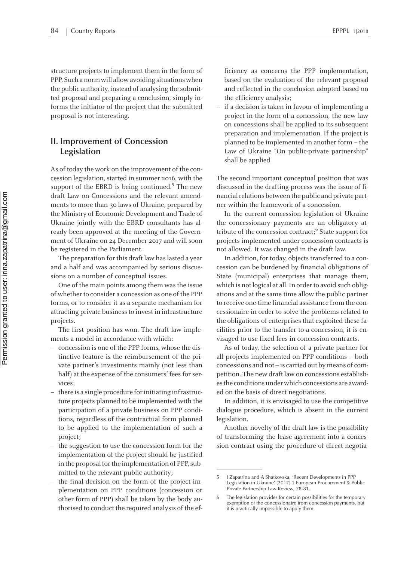structure projects to implement them in the form of PPP. Such a norm will allow avoiding situations when the public authority, instead of analysing the submitted proposal and preparing <sup>a</sup> conclusion, simply informs the initiator of the project that the submitted proposal is not interesting.

## **II. Improvement of Concession Legislation**

As of today the work on the improvement of the concession legislation, started in summer 2016, with the suppor<sup>t</sup> of the EBRD is being continued. 5 The new draft Law on Concessions and the relevant amendments to more than 30 laws of Ukraine, prepared by the Ministry of Economic Development and Trade of Ukraine jointly with the EBRD consultants has already been approved at the meeting of the Government of Ukraine on 24 December 2017 and will soon be registered in the Parliament.

The preparation for this draft law has lasted a year and <sup>a</sup> half and was accompanied by serious discussions on <sup>a</sup> number of conceptual issues.

One of the main points among them was the issue of whether to consider a concession as one of the PPP forms, or to consider it as <sup>a</sup> separate mechanism for attracting private business to invest in infrastructure projects.

The first position has won. The draft law implements <sup>a</sup> model in accordance with which:

- concession is one of the PPP forms, whose the distinctive feature is the reimbursement of the private partner's investments mainly (not less than half) at the expense of the consumers' fees for services;
- there is <sup>a</sup> single procedure forinitiating infrastructure projects planned to be implemented with the participation of <sup>a</sup> private business on PPP conditions, regardless of the contractual form planned to be applied to the implementation of such <sup>a</sup> project;
- the suggestion to use the concession form for the implementation of the project should be justified in the proposal for the implementation of PPP, submitted to the relevant public authority;
- the final decision on the form of the project implementation on PPP conditions (concession or other form of PPP) shall be taken by the body authorised to conduct the required analysis of the ef-

ficiency as concerns the PPP implementation, based on the evaluation of the relevant proposal and reflected in the conclusion adopted based on the efficiency analysis;

 if <sup>a</sup> decision is taken in favour of implementing <sup>a</sup> project in the form of <sup>a</sup> concession, the new law on concessions shall be applied to its subsequent preparation and implementation. If the project is planned to be implemented in another form – the Law of Ukraine "On public-private partnership" shall be applied.

The second important conceptual position that was discussed in the drafting process was the issue of financial relations between the public and private partner within the framework of <sup>a</sup> concession.

In the current concession legislation of Ukraine the concessionary payments are an obligatory attribute of the concession contract; 6 State suppor<sup>t</sup> for projects implemented under concession contracts is not allowed. It was changed in the draft law.

In addition, for today, objects transferred to a concession can be burdened by financial obligations of State (municipal) enterprises that manage them, which is not logical at all. In order to avoid such obligations and at the same time allow the public partner to receive one-time financial assistance fromthe concessionaire in order to solve the problems related to the obligations of enterprises that exploited these facilities prior to the transfer to <sup>a</sup> concession, it is envisaged to use fixed fees in concession contracts. r<br>L

As of today, the selection of <sup>a</sup> private partner for all projects implemented on PPP conditions – both concessions and not – is carried out by means of competition. The new draft law on concessions establishes the conditions under which concessions are awarded on the basis of direct negotiations.

In addition, it is envisaged to use the competitive dialogue procedure, which is absent in the current legislation.

Another novelty of the draft law is the possibility of transforming the lease agreemen<sup>t</sup> into <sup>a</sup> concession contract using the procedure of direct negotia-

<sup>5</sup> <sup>I</sup> Zapatrina and <sup>A</sup> Shatkovska, 'Recent Developments in PPP Legislation in Ukraine' (2017) <sup>1</sup> European Procurement & Public Private Partnership Law Review, 78-81.

<sup>6</sup> The legislation provides for certain possibilities for the temporary exemption of the concessionaire from concession payments, but it is practically impossible to apply them.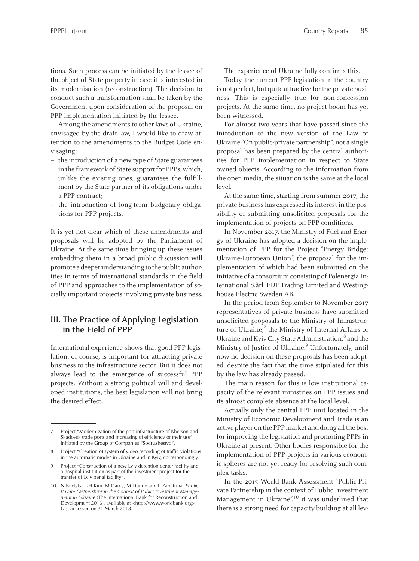tions. Such process can be initiated by the lessee of the object of State property in case it is interested in its modernisation (reconstruction). The decision to conduct such <sup>a</sup> transformation shall be taken by the Government upon consideration of the proposal on PPP implementation initiated by the lessee.

Among the amendments to other laws of Ukraine, envisaged by the draft law, <sup>I</sup> would like to draw attention to the amendments to the Budget Code envisaging:

- the introduction of <sup>a</sup> new type of State guarantees in the framework of State support for PPPs, which, unlike the existing ones, guarantees the fulfillment by the State partner of its obligations under <sup>a</sup> PPP contract;
- the introduction of long-term budgetary obligations for PPP projects.

It is ye<sup>t</sup> not clear which of these amendments and proposals will be adopted by the Parliament of Ukraine. At the same time bringing up these issues embedding them in <sup>a</sup> broad public discussion will promote a deeper understanding to the public authorities in terms of international standards in the field of PPP and approaches to the implementation of socially important projects involving private business.

### **III. The Practice of Applying Legislation in the Field of PPP**

International experience shows that good PPP legislation, of course, is important for attracting private business to the infrastructure sector. But it does not always lead to the emergence of successful PPP projects. Without <sup>a</sup> strong political will and developed institutions, the best legislation will not bring the desired effect.

The experience of Ukraine fully confirms this.

Today, the current PPP legislation in the country is not perfect, but quite attractive for the private business. This is especially true for non-concession projects. At the same time, no project boom has ye<sup>t</sup> been witnessed.

For almost two years that have passed since the introduction of the new version of the Law of Ukraine "On public-private partnership", not <sup>a</sup> single proposal has been prepared by the central authorities for PPP implementation in respec<sup>t</sup> to State owned objects. According to the information from the open media, the situation is the same at the local level.

At the same time, starting from summer 2017, the private business has expressed itsinterest in the possibility of submitting unsolicited proposals for the implementation of projects on PPP conditions.

In November 2017, the Ministry of Fuel and Energy of Ukraine has adopted <sup>a</sup> decision on the implementation of PPP for the Project "Energy Bridge: Ukraine-European Union", the proposal for the implementation of which had been submitted on the initiative of a consortium consisting of Polenergia International S.àrl, EDF Trading Limited and Westinghouse Electric Sweden AB.

In the period from September to November 2017 representatives of private business have submitted unsolicited proposals to the Ministry of Infrastructure of Ukraine,<sup>7</sup> the Ministry of Internal Affairs of Ukraine and Kyiv City State Administration, $^8$  and the Ministry of Justice of Ukraine. 9 Unfortunately, until now no decision on these proposals has been adopted, despite the fact that the time stipulated for this by the law has already passed.

The main reason for this is low institutional capacity of the relevant ministries on PPP issues and its almost complete absence at the local level.

Actually only the central PPP unit located in the Ministry of Economic Development and Trade is an active player on the PPP market and doing all the best for improving the legislation and promoting PPPs in Ukraine at present. Other bodies responsible for the implementation of PPP projects in various economic spheres are not ye<sup>t</sup> ready for resolving such complex tasks.

In the 2015 World Bank Assessment "Public-Private Partnership in the context of Public Investment Management in Ukraine",<sup>10</sup> it was underlined that there is <sup>a</sup> strong need for capacity building at all lev-

Project "Modernization of the port infrastructure of Kherson and Skadovsk trade ports and increasing of efficiency of their use", initiated by the Group of Companies "Sodruzhestvo".

<sup>8</sup> Project "Creation of system of video recording of traffic violations in the automatic mode" in Ukraine and in Kyiv, correspondingly.

Project "Construction of a new Lviv detention center facility and <sup>a</sup> hospital institution as par<sup>t</sup> of the investment project for the transfer of Lviv penal facility".

<sup>10</sup> N Biletska, J-H Kim, MDarcy, MDunne and I. Zapatrina, *Public-Private Partnerships in the Context of Public Investment Managemant in Ukraine* (The International Bank for Reconstruction and Development 2016), available at <http://www.worldbank.org> Last accessed on 30 March 2018.